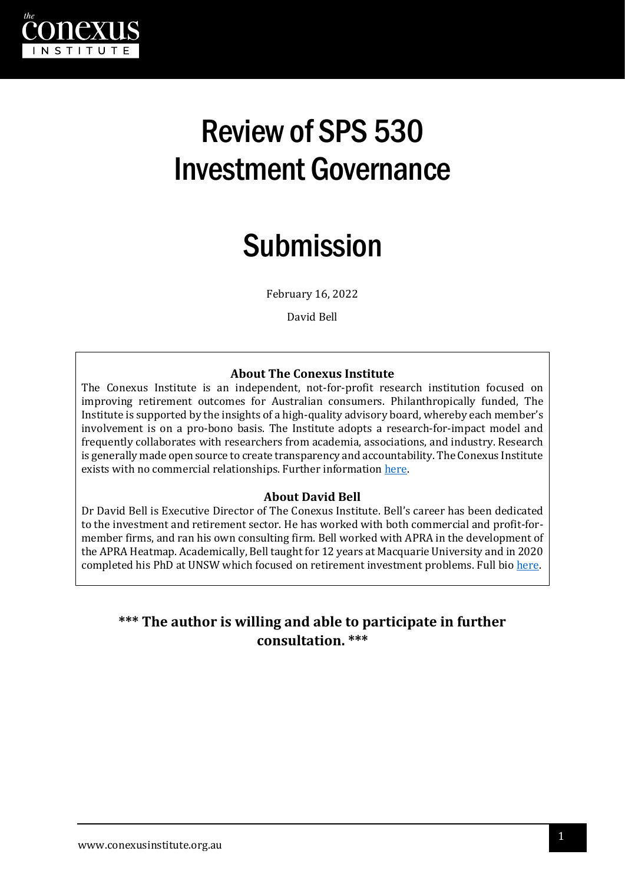

# Review of SPS 530 Investment Governance

# Submission

February 16, 2022

David Bell

#### **About The Conexus Institute**

The Conexus Institute is an independent, not-for-profit research institution focused on improving retirement outcomes for Australian consumers. Philanthropically funded, The Institute is supported by the insights of a high-quality advisory board, whereby each member's involvement is on a pro-bono basis. The Institute adopts a research-for-impact model and frequently collaborates with researchers from academia, associations, and industry. Research is generally made open source to create transparency and accountability. The Conexus Institute exists with no commercial relationships. Further informatio[n here.](https://theconexusinstitute.org.au/)

#### **About David Bell**

Dr David Bell is Executive Director of The Conexus Institute. Bell's career has been dedicated to the investment and retirement sector. He has worked with both commercial and profit-formember firms, and ran his own consulting firm. Bell worked with APRA in the development of the APRA Heatmap. Academically, Bell taught for 12 years at Macquarie University and in 2020 completed his PhD at UNSW which focused on retirement investment problems. Full bio [here.](https://theconexusinstitute.org.au/about/)

#### **\*\*\* The author is willing and able to participate in further consultation. \*\*\***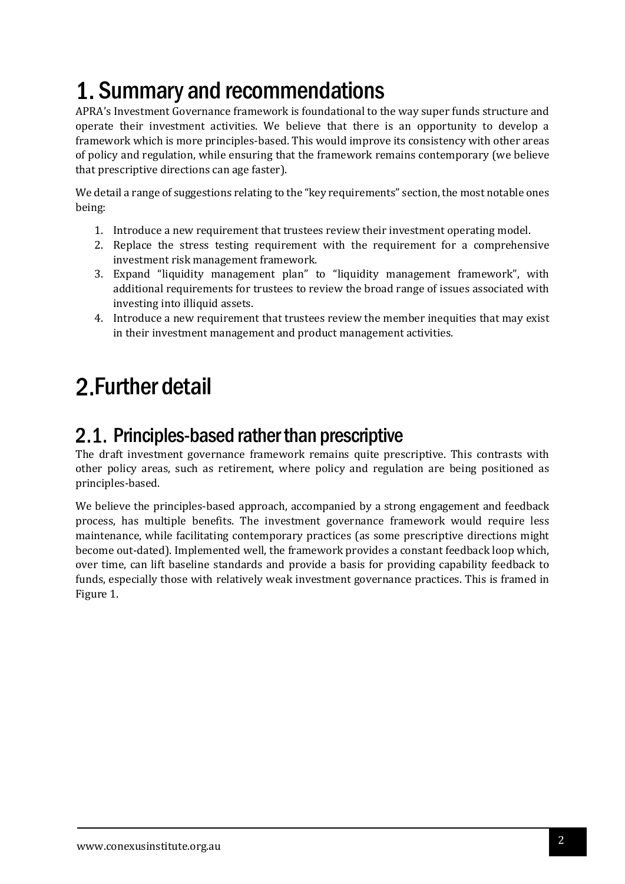# 1. Summary and recommendations

APRA's Investment Governance framework is foundational to the way super funds structure and operate their investment activities. We believe that there is an opportunity to develop a framework which is more principles-based. This would improve its consistency with other areas of policy and regulation, while ensuring that the framework remains contemporary (we believe that prescriptive directions can age faster).

We detail a range of suggestions relating to the "key requirements" section, the most notable ones being:

- 1. Introduce a new requirement that trustees review their investment operating model.
- 2. Replace the stress testing requirement with the requirement for a comprehensive investment risk management framework.
- 3. Expand "liquidity management plan" to "liquidity management framework", with additional requirements for trustees to review the broad range of issues associated with investing into illiquid assets.
- 4. Introduce a new requirement that trustees review the member inequities that may exist in their investment management and product management activities.

## 2. Further detail

### 2.1. Principles-based rather than prescriptive

The draft investment governance framework remains quite prescriptive. This contrasts with other policy areas, such as retirement, where policy and regulation are being positioned as principles-based.

We believe the principles-based approach, accompanied by a strong engagement and feedback process, has multiple benefits. The investment governance framework would require less maintenance, while facilitating contemporary practices (as some prescriptive directions might become out-dated). Implemented well, the framework provides a constant feedback loop which, over time, can lift baseline standards and provide a basis for providing capability feedback to funds, especially those with relatively weak investment governance practices. This is framed in Figure 1.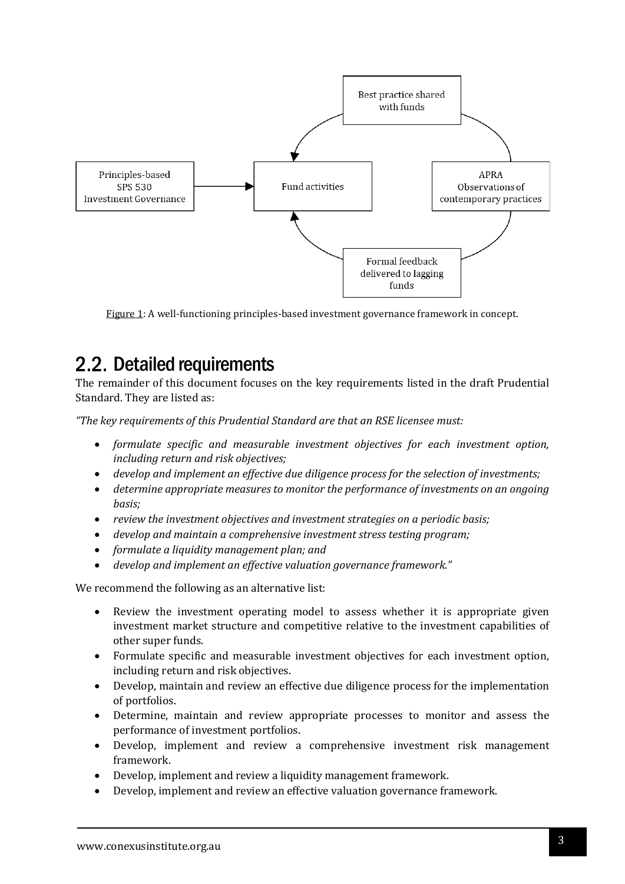

Figure 1: A well-functioning principles-based investment governance framework in concept.

## 2.2. Detailed requirements

The remainder of this document focuses on the key requirements listed in the draft Prudential Standard. They are listed as:

*"The key requirements of this Prudential Standard are that an RSE licensee must:*

- *formulate specific and measurable investment objectives for each investment option, including return and risk objectives;*
- *develop and implement an effective due diligence process for the selection of investments;*
- *determine appropriate measures to monitor the performance of investments on an ongoing basis;*
- *review the investment objectives and investment strategies on a periodic basis;*
- *develop and maintain a comprehensive investment stress testing program;*
- *formulate a liquidity management plan; and*
- *develop and implement an effective valuation governance framework."*

We recommend the following as an alternative list:

- Review the investment operating model to assess whether it is appropriate given investment market structure and competitive relative to the investment capabilities of other super funds.
- Formulate specific and measurable investment objectives for each investment option, including return and risk objectives.
- Develop, maintain and review an effective due diligence process for the implementation of portfolios.
- Determine, maintain and review appropriate processes to monitor and assess the performance of investment portfolios.
- Develop, implement and review a comprehensive investment risk management framework.
- Develop, implement and review a liquidity management framework.
- Develop, implement and review an effective valuation governance framework.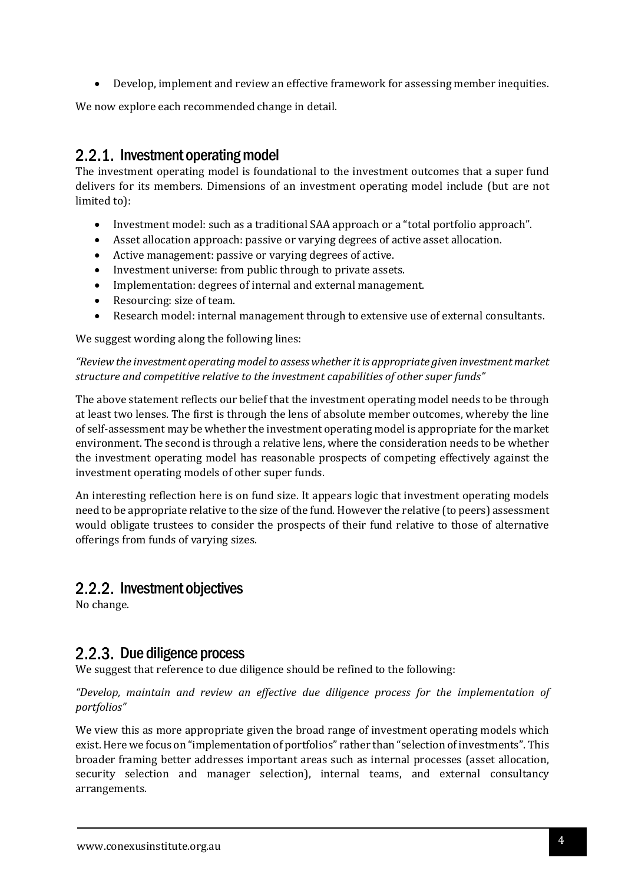• Develop, implement and review an effective framework for assessing member inequities.

We now explore each recommended change in detail.

### 2.2.1. Investment operating model

The investment operating model is foundational to the investment outcomes that a super fund delivers for its members. Dimensions of an investment operating model include (but are not limited to):

- Investment model: such as a traditional SAA approach or a "total portfolio approach".
- Asset allocation approach: passive or varying degrees of active asset allocation.
- Active management: passive or varying degrees of active.
- Investment universe: from public through to private assets.
- Implementation: degrees of internal and external management.
- Resourcing: size of team.
- Research model: internal management through to extensive use of external consultants.

We suggest wording along the following lines:

*"Review the investment operating model to assess whether it is appropriate given investment market structure and competitive relative to the investment capabilities of other super funds"*

The above statement reflects our belief that the investment operating model needs to be through at least two lenses. The first is through the lens of absolute member outcomes, whereby the line of self-assessment may be whether the investment operating model is appropriate for the market environment. The second is through a relative lens, where the consideration needs to be whether the investment operating model has reasonable prospects of competing effectively against the investment operating models of other super funds.

An interesting reflection here is on fund size. It appears logic that investment operating models need to be appropriate relative to the size of the fund. However the relative (to peers) assessment would obligate trustees to consider the prospects of their fund relative to those of alternative offerings from funds of varying sizes.

#### 2.2.2. Investment objectives

No change.

### 2.2.3. Due diligence process

We suggest that reference to due diligence should be refined to the following:

*"Develop, maintain and review an effective due diligence process for the implementation of portfolios"*

We view this as more appropriate given the broad range of investment operating models which exist. Here we focus on "implementation of portfolios" rather than "selection of investments". This broader framing better addresses important areas such as internal processes (asset allocation, security selection and manager selection), internal teams, and external consultancy arrangements.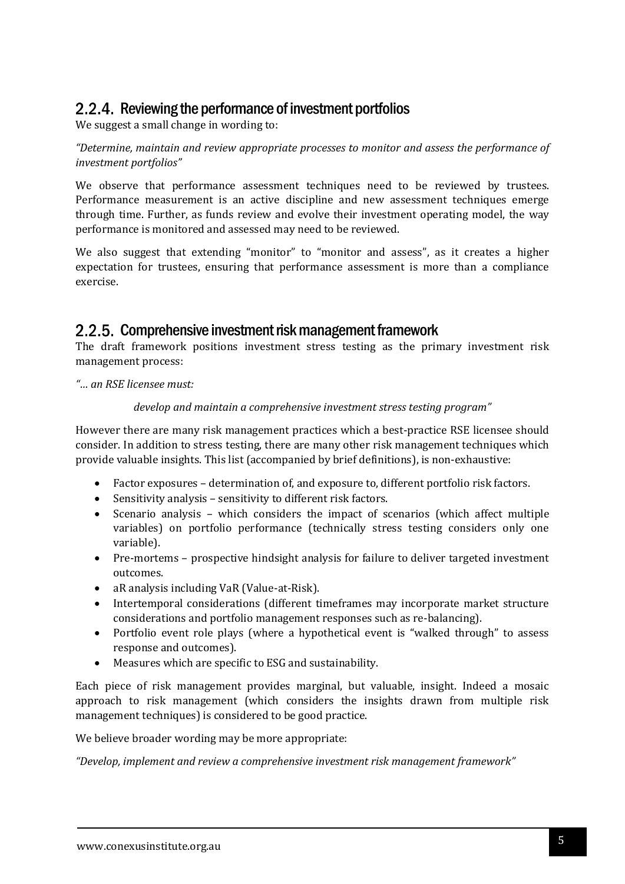#### 2.2.4. Reviewing the performance of investment portfolios

We suggest a small change in wording to:

*"Determine, maintain and review appropriate processes to monitor and assess the performance of investment portfolios"*

We observe that performance assessment techniques need to be reviewed by trustees. Performance measurement is an active discipline and new assessment techniques emerge through time. Further, as funds review and evolve their investment operating model, the way performance is monitored and assessed may need to be reviewed.

We also suggest that extending "monitor" to "monitor and assess", as it creates a higher expectation for trustees, ensuring that performance assessment is more than a compliance exercise.

#### 2.2.5. Comprehensive investment risk management framework

The draft framework positions investment stress testing as the primary investment risk management process:

*"… an RSE licensee must:*

#### *develop and maintain a comprehensive investment stress testing program"*

However there are many risk management practices which a best-practice RSE licensee should consider. In addition to stress testing, there are many other risk management techniques which provide valuable insights. This list (accompanied by brief definitions), is non-exhaustive:

- Factor exposures determination of, and exposure to, different portfolio risk factors.
- Sensitivity analysis sensitivity to different risk factors.
- Scenario analysis which considers the impact of scenarios (which affect multiple variables) on portfolio performance (technically stress testing considers only one variable).
- Pre-mortems prospective hindsight analysis for failure to deliver targeted investment outcomes.
- aR analysis including VaR (Value-at-Risk).
- Intertemporal considerations (different timeframes may incorporate market structure considerations and portfolio management responses such as re-balancing).
- Portfolio event role plays (where a hypothetical event is "walked through" to assess response and outcomes).
- Measures which are specific to ESG and sustainability.

Each piece of risk management provides marginal, but valuable, insight. Indeed a mosaic approach to risk management (which considers the insights drawn from multiple risk management techniques) is considered to be good practice.

We believe broader wording may be more appropriate:

*"Develop, implement and review a comprehensive investment risk management framework"*